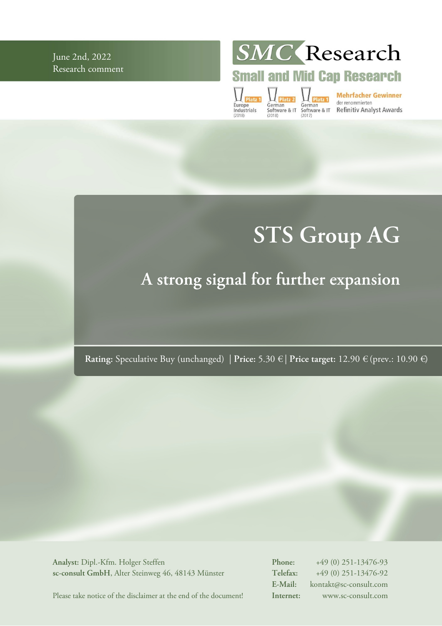June 2nd, 2022 Research comment **SMC** Research

# **Small and Mid Cap Research**

Europe<br>Industrials

German<br>
German<br>
Software & IT Software & IT Refinitiv Analyst Awards<br>
(2018)<br>
(2018)

# **STS Group AG**

# **A strong signal for further expansion**

**Rating:** Speculative Buy (unchanged) | **Price:** 5.30 € | **Price target:** 12.90 € (prev.: 10.90 €)

**Analyst:** Dipl.-Kfm. Holger Steffen **sc-consult GmbH**, Alter Steinweg 46, 48143 Münster **Phone:** +49 (0) 251-13476-93 **Telefax:** +49 (0) 251-13476-92 **E-Mail:** kontakt@sc-consult.com **Internet:** www.sc-consult.com

Please take notice of the disclaimer at the end of the document!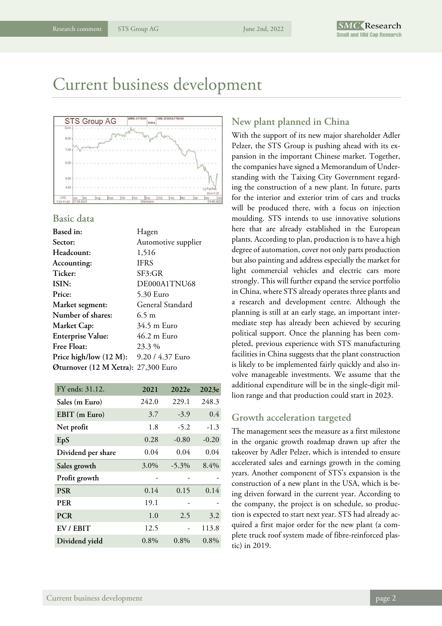Current business development



### **Basic data**

| <b>Based</b> in:                        | Hagen               |
|-----------------------------------------|---------------------|
| Sector:                                 | Automotive supplier |
| Headcount:                              | 1,516               |
| Accounting:                             | <b>IFRS</b>         |
| Ticker:                                 | SF3:GR              |
| ISIN:                                   | DE000A1TNU68        |
| Price:                                  | 5.30 Euro           |
| Market segment:                         | General Standard    |
| Number of shares:                       | $6.5 \text{ m}$     |
| Market Cap:                             | 34.5 m Euro         |
| <b>Enterprise Value:</b>                | 46.2 m Euro         |
| <b>Free Float:</b>                      | 23.3 %              |
| Price high/low (12 M): 9.20 / 4.37 Euro |                     |
| Øturnover (12 M Xetra): 27,300 Euro     |                     |
|                                         |                     |

| FY ends: 31.12.    | 2021    | 2022e    | 2023e   |
|--------------------|---------|----------|---------|
| Sales (m Euro)     | 242.0   | 229.1    | 248.3   |
| EBIT (m Euro)      | 3.7     | $-3.9$   | 0.4     |
| Net profit         | 1.8     | $-5.2$   | $-1.3$  |
| EpS                | 0.28    | $-0.80$  | $-0.20$ |
| Dividend per share | 0.04    | 0.04     | 0.04    |
| Sales growth       | 3.0%    | $-5.3\%$ | 8.4%    |
| Profit growth      |         |          |         |
| <b>PSR</b>         | 0.14    | 0.15     | 0.14    |
| PER                | 19.1    |          |         |
| <b>PCR</b>         | 1.0     | 2.5      | 3.2     |
| EV / EBIT          | 12.5    |          | 113.8   |
| Dividend yield     | $0.8\%$ | $0.8\%$  | $0.8\%$ |

### **New plant planned in China**

With the support of its new major shareholder Adler Pelzer, the STS Group is pushing ahead with its expansion in the important Chinese market. Together, the companies have signed a Memorandum of Understanding with the Taixing City Government regarding the construction of a new plant. In future, parts for the interior and exterior trim of cars and trucks will be produced there, with a focus on injection moulding. STS intends to use innovative solutions here that are already established in the European plants. According to plan, production is to have a high degree of automation, cover not only parts production but also painting and address especially the market for light commercial vehicles and electric cars more strongly. This will further expand the service portfolio in China, where STS already operates three plants and a research and development centre. Although the planning is still at an early stage, an important intermediate step has already been achieved by securing political support. Once the planning has been completed, previous experience with STS manufacturing facilities in China suggests that the plant construction is likely to be implemented fairly quickly and also involve manageable investments. We assume that the additional expenditure will be in the single-digit million range and that production could start in 2023.

### **Growth acceleration targeted**

The management sees the measure as a first milestone in the organic growth roadmap drawn up after the takeover by Adler Pelzer, which is intended to ensure accelerated sales and earnings growth in the coming years. Another component of STS's expansion is the construction of a new plant in the USA, which is being driven forward in the current year. According to the company, the project is on schedule, so production is expected to start next year. STS had already acquired a first major order for the new plant (a complete truck roof system made of fibre-reinforced plastic) in 2019.

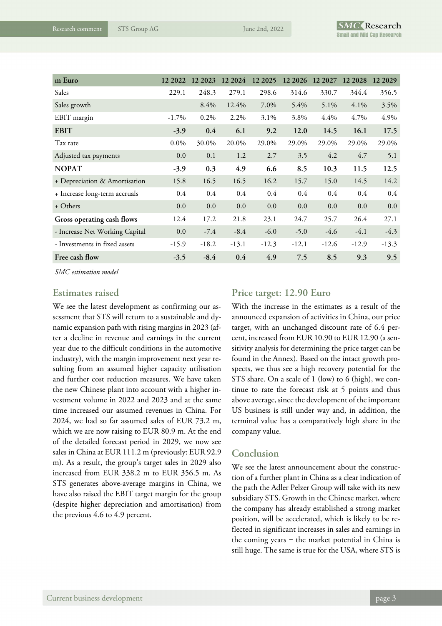| m Euro                         | 12 2022  | 12 2023 | 12 2024 | 12 2025 | 12 20 26 | 12 2027 | 12 2028 | 12 20 29 |
|--------------------------------|----------|---------|---------|---------|----------|---------|---------|----------|
| Sales                          | 229.1    | 248.3   | 279.1   | 298.6   | 314.6    | 330.7   | 344.4   | 356.5    |
| Sales growth                   |          | 8.4%    | 12.4%   | 7.0%    | 5.4%     | 5.1%    | 4.1%    | 3.5%     |
| EBIT margin                    | $-1.7\%$ | 0.2%    | 2.2%    | 3.1%    | 3.8%     | 4.4%    | 4.7%    | 4.9%     |
| <b>EBIT</b>                    | $-3.9$   | 0.4     | 6.1     | 9.2     | 12.0     | 14.5    | 16.1    | 17.5     |
| Tax rate                       | $0.0\%$  | 30.0%   | 20.0%   | 29.0%   | 29.0%    | 29.0%   | 29.0%   | 29.0%    |
| Adjusted tax payments          | 0.0      | 0.1     | 1.2     | 2.7     | 3.5      | 4.2     | 4.7     | 5.1      |
| <b>NOPAT</b>                   | $-3.9$   | 0.3     | 4.9     | 6.6     | 8.5      | 10.3    | 11.5    | 12.5     |
| + Depreciation & Amortisation  | 15.8     | 16.5    | 16.5    | 16.2    | 15.7     | 15.0    | 14.5    | 14.2     |
| + Increase long-term accruals  | $0.4\,$  | 0.4     | 0.4     | 0.4     | 0.4      | 0.4     | 0.4     | 0.4      |
| + Others                       | 0.0      | 0.0     | 0.0     | 0.0     | 0.0      | 0.0     | 0.0     | 0.0      |
| Gross operating cash flows     | 12.4     | 17.2    | 21.8    | 23.1    | 24.7     | 25.7    | 26.4    | 27.1     |
| - Increase Net Working Capital | 0.0      | $-7.4$  | $-8.4$  | $-6.0$  | $-5.0$   | $-4.6$  | $-4.1$  | $-4.3$   |
| - Investments in fixed assets  | $-15.9$  | $-18.2$ | $-13.1$ | $-12.3$ | $-12.1$  | $-12.6$ | $-12.9$ | $-13.3$  |
| Free cash flow                 | $-3.5$   | $-8.4$  | 0.4     | 4.9     | 7.5      | 8.5     | 9.3     | 9.5      |

*SMC estimation model*

### **Estimates raised**

We see the latest development as confirming our assessment that STS will return to a sustainable and dynamic expansion path with rising margins in 2023 (after a decline in revenue and earnings in the current year due to the difficult conditions in the automotive industry), with the margin improvement next year resulting from an assumed higher capacity utilisation and further cost reduction measures. We have taken the new Chinese plant into account with a higher investment volume in 2022 and 2023 and at the same time increased our assumed revenues in China. For 2024, we had so far assumed sales of EUR 73.2 m, which we are now raising to EUR 80.9 m. At the end of the detailed forecast period in 2029, we now see sales in China at EUR 111.2 m (previously: EUR 92.9 m). As a result, the group's target sales in 2029 also increased from EUR 338.2 m to EUR 356.5 m. As STS generates above-average margins in China, we have also raised the EBIT target margin for the group (despite higher depreciation and amortisation) from the previous 4.6 to 4.9 percent.

### **Price target: 12.90 Euro**

With the increase in the estimates as a result of the announced expansion of activities in China, our price target, with an unchanged discount rate of 6.4 percent, increased from EUR 10.90 to EUR 12.90 (a sensitivity analysis for determining the price target can be found in the Annex). Based on the intact growth prospects, we thus see a high recovery potential for the STS share. On a scale of 1 (low) to 6 (high), we continue to rate the forecast risk at 5 points and thus above average, since the development of the important US business is still under way and, in addition, the terminal value has a comparatively high share in the company value.

### **Conclusion**

We see the latest announcement about the construction of a further plant in China as a clear indication of the path the Adler Pelzer Group will take with its new subsidiary STS. Growth in the Chinese market, where the company has already established a strong market position, will be accelerated, which is likely to be reflected in significant increases in sales and earnings in the coming years  $-$  the market potential in China is still huge. The same is true for the USA, where STS is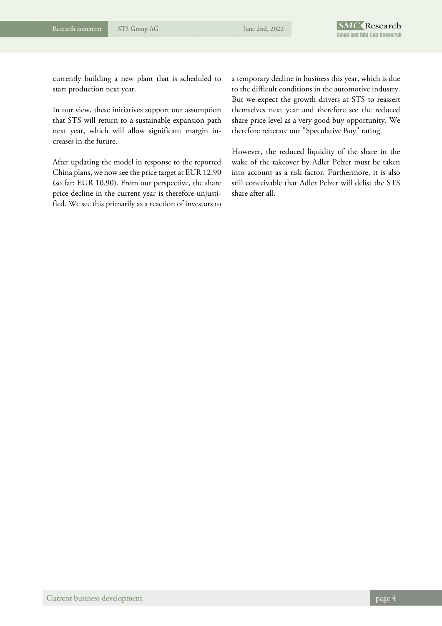currently building a new plant that is scheduled to start production next year.

In our view, these initiatives support our assumption that STS will return to a sustainable expansion path next year, which will allow significant margin increases in the future.

After updating the model in response to the reported China plans, we now see the price target at EUR 12.90 (so far: EUR 10.90). From our perspective, the share price decline in the current year is therefore unjustified. We see this primarily as a reaction of investors to a temporary decline in business this year, which is due to the difficult conditions in the automotive industry. But we expect the growth drivers at STS to reassert themselves next year and therefore see the reduced share price level as a very good buy opportunity. We therefore reiterate our "Speculative Buy" rating.

However, the reduced liquidity of the share in the wake of the takeover by Adler Pelzer must be taken into account as a risk factor. Furthermore, it is also still conceivable that Adler Pelzer will delist the STS share after all.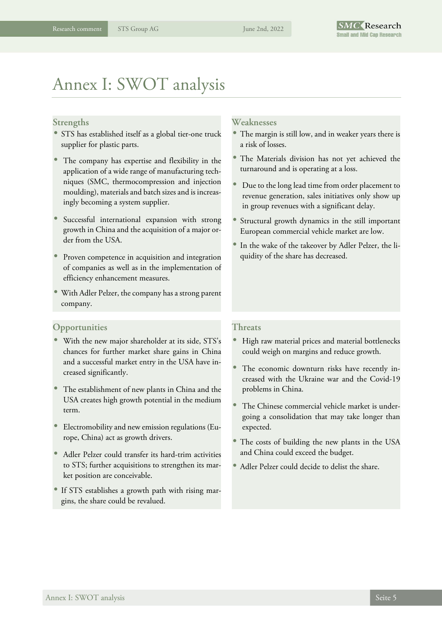# Annex I: SWOT analysis

#### **Strengths**

- STS has established itself as a global tier-one truck supplier for plastic parts.
- The company has expertise and flexibility in the application of a wide range of manufacturing techniques (SMC, thermocompression and injection moulding), materials and batch sizes and is increasingly becoming a system supplier.
- Successful international expansion with strong growth in China and the acquisition of a major order from the USA.
- Proven competence in acquisition and integration of companies as well as in the implementation of efficiency enhancement measures.
- With Adler Pelzer, the company has a strong parent company.

#### **Opportunities**

- With the new major shareholder at its side, STS's chances for further market share gains in China and a successful market entry in the USA have increased significantly.
- The establishment of new plants in China and the USA creates high growth potential in the medium term.
- Electromobility and new emission regulations (Europe, China) act as growth drivers.
- Adler Pelzer could transfer its hard-trim activities to STS; further acquisitions to strengthen its market position are conceivable.
- If STS establishes a growth path with rising margins, the share could be revalued.

#### **Weaknesses**

- The margin is still low, and in weaker years there is a risk of losses.
- The Materials division has not yet achieved the turnaround and is operating at a loss.
- Due to the long lead time from order placement to revenue generation, sales initiatives only show up in group revenues with a significant delay.
- Structural growth dynamics in the still important European commercial vehicle market are low.
- In the wake of the takeover by Adler Pelzer, the liquidity of the share has decreased.

#### **Threats**

- High raw material prices and material bottlenecks could weigh on margins and reduce growth.
- The economic downturn risks have recently increased with the Ukraine war and the Covid-19 problems in China.
- The Chinese commercial vehicle market is undergoing a consolidation that may take longer than expected.
- The costs of building the new plants in the USA and China could exceed the budget.
- Adler Pelzer could decide to delist the share.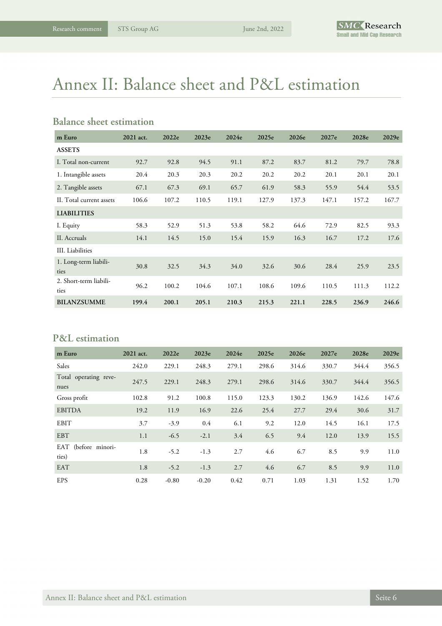# Annex II: Balance sheet and P&L estimation

### **Balance sheet estimation**

| m Euro                         | 2021 act. | 2022e | 2023e | 2024e | 2025e | 2026e | 2027e | 2028e | 2029e |
|--------------------------------|-----------|-------|-------|-------|-------|-------|-------|-------|-------|
| <b>ASSETS</b>                  |           |       |       |       |       |       |       |       |       |
| I. Total non-current           | 92.7      | 92.8  | 94.5  | 91.1  | 87.2  | 83.7  | 81.2  | 79.7  | 78.8  |
| 1. Intangible assets           | 20.4      | 20.3  | 20.3  | 20.2  | 20.2  | 20.2  | 20.1  | 20.1  | 20.1  |
| 2. Tangible assets             | 67.1      | 67.3  | 69.1  | 65.7  | 61.9  | 58.3  | 55.9  | 54.4  | 53.5  |
| II. Total current assets       | 106.6     | 107.2 | 110.5 | 119.1 | 127.9 | 137.3 | 147.1 | 157.2 | 167.7 |
| <b>LIABILITIES</b>             |           |       |       |       |       |       |       |       |       |
| I. Equity                      | 58.3      | 52.9  | 51.3  | 53.8  | 58.2  | 64.6  | 72.9  | 82.5  | 93.3  |
| II. Accruals                   | 14.1      | 14.5  | 15.0  | 15.4  | 15.9  | 16.3  | 16.7  | 17.2  | 17.6  |
| III. Liabilities               |           |       |       |       |       |       |       |       |       |
| 1. Long-term liabili-<br>ties  | 30.8      | 32.5  | 34.3  | 34.0  | 32.6  | 30.6  | 28.4  | 25.9  | 23.5  |
| 2. Short-term liabili-<br>ties | 96.2      | 100.2 | 104.6 | 107.1 | 108.6 | 109.6 | 110.5 | 111.3 | 112.2 |
| <b>BILANZSUMME</b>             | 199.4     | 200.1 | 205.1 | 210.3 | 215.3 | 221.1 | 228.5 | 236.9 | 246.6 |

## **P&L estimation**

| m Euro                        | 2021 act. | 2022e   | 2023e   | 2024e | 2025e | 2026e | 2027e | 2028e | 2029e |
|-------------------------------|-----------|---------|---------|-------|-------|-------|-------|-------|-------|
| Sales                         | 242.0     | 229.1   | 248.3   | 279.1 | 298.6 | 314.6 | 330.7 | 344.4 | 356.5 |
| Total operating reve-<br>nues | 247.5     | 229.1   | 248.3   | 279.1 | 298.6 | 314.6 | 330.7 | 344.4 | 356.5 |
| Gross profit                  | 102.8     | 91.2    | 100.8   | 115.0 | 123.3 | 130.2 | 136.9 | 142.6 | 147.6 |
| <b>EBITDA</b>                 | 19.2      | 11.9    | 16.9    | 22.6  | 25.4  | 27.7  | 29.4  | 30.6  | 31.7  |
| <b>EBIT</b>                   | 3.7       | $-3.9$  | 0.4     | 6.1   | 9.2   | 12.0  | 14.5  | 16.1  | 17.5  |
| <b>EBT</b>                    | 1.1       | $-6.5$  | $-2.1$  | 3.4   | 6.5   | 9.4   | 12.0  | 13.9  | 15.5  |
| EAT (before minori-<br>ties)  | 1.8       | $-5.2$  | $-1.3$  | 2.7   | 4.6   | 6.7   | 8.5   | 9.9   | 11.0  |
| <b>EAT</b>                    | 1.8       | $-5.2$  | $-1.3$  | 2.7   | 4.6   | 6.7   | 8.5   | 9.9   | 11.0  |
| <b>EPS</b>                    | 0.28      | $-0.80$ | $-0.20$ | 0.42  | 0.71  | 1.03  | 1.31  | 1.52  | 1.70  |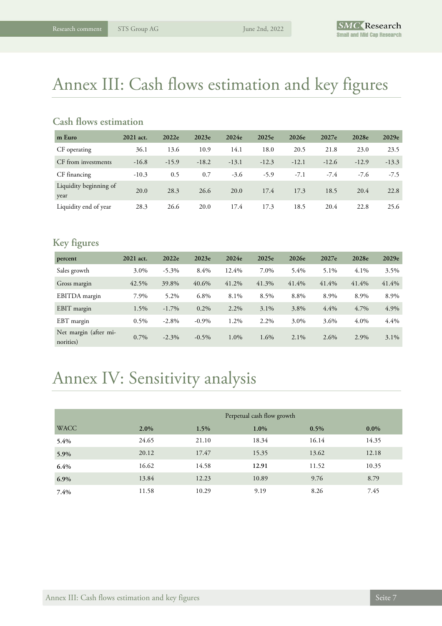# Annex III: Cash flows estimation and key figures

### **Cash flows estimation**

| m Euro                         | 2021 act. | 2022e   | 2023e   | 2024e   | 2025e   | 2026e   | 2027e   | 2028e   | 2029e   |
|--------------------------------|-----------|---------|---------|---------|---------|---------|---------|---------|---------|
| CF operating                   | 36.1      | 13.6    | 10.9    | 14.1    | 18.0    | 20.5    | 21.8    | 23.0    | 23.5    |
| CF from investments            | $-16.8$   | $-15.9$ | $-18.2$ | $-13.1$ | $-12.3$ | $-12.1$ | $-12.6$ | $-12.9$ | $-13.3$ |
| CF financing                   | $-10.3$   | 0.5     | 0.7     | $-3.6$  | $-5.9$  | $-7.1$  | $-7.4$  | $-7.6$  | $-7.5$  |
| Liquidity beginning of<br>year | 20.0      | 28.3    | 26.6    | 20.0    | 17.4    | 17.3    | 18.5    | 20.4    | 22.8    |
| Liquidity end of year          | 28.3      | 26.6    | 20.0    | 17.4    | 17.3    | 18.5    | 20.4    | 22.8    | 25.6    |

# **Key figures**

| percent                            | 2021 act. | 2022e    | 2023e    | 2024e   | 2025e   | 2026e   | 2027e | 2028e | 2029e   |
|------------------------------------|-----------|----------|----------|---------|---------|---------|-------|-------|---------|
| Sales growth                       | 3.0%      | $-5.3\%$ | 8.4%     | 12.4%   | 7.0%    | 5.4%    | 5.1%  | 4.1%  | 3.5%    |
| Gross margin                       | 42.5%     | 39.8%    | 40.6%    | 41.2%   | 41.3%   | 41.4%   | 41.4% | 41.4% | 41.4%   |
| EBITDA margin                      | 7.9%      | 5.2%     | 6.8%     | 8.1%    | 8.5%    | 8.8%    | 8.9%  | 8.9%  | 8.9%    |
| EBIT margin                        | 1.5%      | $-1.7\%$ | $0.2\%$  | $2.2\%$ | $3.1\%$ | 3.8%    | 4.4%  | 4.7%  | 4.9%    |
| EBT margin                         | $0.5\%$   | $-2.8\%$ | $-0.9\%$ | 1.2%    | 2.2%    | 3.0%    | 3.6%  | 4.0%  | 4.4%    |
| Net margin (after mi-<br>norities) | $0.7\%$   | $-2.3\%$ | $-0.5\%$ | 1.0%    | 1.6%    | $2.1\%$ | 2.6%  | 2.9%  | $3.1\%$ |

# Annex IV: Sensitivity analysis

|             | Perpetual cash flow growth |       |         |       |         |  |  |  |
|-------------|----------------------------|-------|---------|-------|---------|--|--|--|
| <b>WACC</b> | $2.0\%$                    | 1.5%  | $1.0\%$ | 0.5%  | $0.0\%$ |  |  |  |
| 5.4%        | 24.65                      | 21.10 | 18.34   | 16.14 | 14.35   |  |  |  |
| 5.9%        | 20.12                      | 17.47 | 15.35   | 13.62 | 12.18   |  |  |  |
| 6.4%        | 16.62                      | 14.58 | 12.91   | 11.52 | 10.35   |  |  |  |
| $6.9\%$     | 13.84                      | 12.23 | 10.89   | 9.76  | 8.79    |  |  |  |
| 7.4%        | 11.58                      | 10.29 | 9.19    | 8.26  | 7.45    |  |  |  |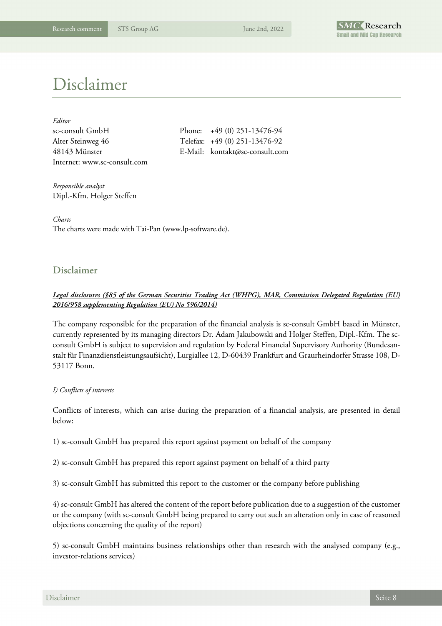

# Disclaimer

| Editor                       |                                |
|------------------------------|--------------------------------|
| sc-consult GmbH              | Phone: $+49(0)$ 251-13476-94   |
| Alter Steinweg 46            | Telefax: +49 (0) 251-13476-92  |
| 48143 Münster                | E-Mail: kontakt@sc-consult.com |
| Internet: www.sc-consult.com |                                |

*Responsible analyst*  Dipl.-Kfm. Holger Steffen

*Charts*  The charts were made with Tai-Pan (www.lp-software.de).

### **Disclaimer**

#### *Legal disclosures (§85 of the German Securities Trading Act (WHPG), MAR, Commission Delegated Regulation (EU) 2016/958 supplementing Regulation (EU) No 596/2014)*

The company responsible for the preparation of the financial analysis is sc-consult GmbH based in Münster, currently represented by its managing directors Dr. Adam Jakubowski and Holger Steffen, Dipl.-Kfm. The scconsult GmbH is subject to supervision and regulation by Federal Financial Supervisory Authority (Bundesanstalt für Finanzdienstleistungsaufsicht), Lurgiallee 12, D-60439 Frankfurt and Graurheindorfer Strasse 108, D-53117 Bonn.

#### *I) Conflicts of interests*

Conflicts of interests, which can arise during the preparation of a financial analysis, are presented in detail below:

1) sc-consult GmbH has prepared this report against payment on behalf of the company

2) sc-consult GmbH has prepared this report against payment on behalf of a third party

3) sc-consult GmbH has submitted this report to the customer or the company before publishing

4) sc-consult GmbH has altered the content of the report before publication due to a suggestion of the customer or the company (with sc-consult GmbH being prepared to carry out such an alteration only in case of reasoned objections concerning the quality of the report)

5) sc-consult GmbH maintains business relationships other than research with the analysed company (e.g., investor-relations services)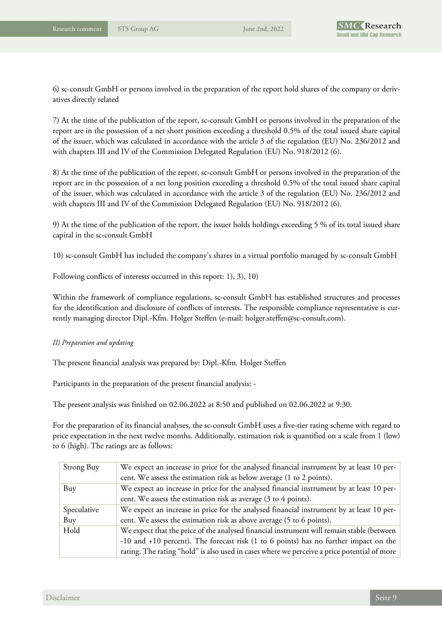

6) sc-consult GmbH or persons involved in the preparation of the report hold shares of the company or derivatives directly related

7) At the time of the publication of the report, sc-consult GmbH or persons involved in the preparation of the report are in the possession of a net short position exceeding a threshold 0.5% of the total issued share capital of the issuer, which was calculated in accordance with the article 3 of the regulation (EU) No. 236/2012 and with chapters III and IV of the Commission Delegated Regulation (EU) No. 918/2012 (6).

8) At the time of the publication of the report, sc-consult GmbH or persons involved in the preparation of the report are in the possession of a net long position exceeding a threshold 0.5% of the total issued share capital of the issuer, which was calculated in accordance with the article 3 of the regulation (EU) No. 236/2012 and with chapters III and IV of the Commission Delegated Regulation (EU) No. 918/2012 (6).

9) At the time of the publication of the report, the issuer holds holdings exceeding 5 % of its total issued share capital in the sc-consult GmbH

10) sc-consult GmbH has included the company's shares in a virtual portfolio managed by sc-consult GmbH

Following conflicts of interests occurred in this report: 1), 3), 10)

Within the framework of compliance regulations, sc-consult GmbH has established structures and processes for the identification and disclosure of conflicts of interests. The responsible compliance representative is currently managing director Dipl.-Kfm. Holger Steffen (e-mail: holger.steffen@sc-consult.com).

#### *II) Preparation and updating*

The present financial analysis was prepared by: Dipl.-Kfm. Holger Steffen

Participants in the preparation of the present financial analysis: -

The present analysis was finished on 02.06.2022 at 8:50 and published on 02.06.2022 at 9:30.

For the preparation of its financial analyses, the sc-consult GmbH uses a five-tier rating scheme with regard to price expectation in the next twelve months. Additionally, estimation risk is quantified on a scale from 1 (low) to 6 (high). The ratings are as follows:

| Strong Buy  | We expect an increase in price for the analysed financial instrument by at least 10 per-    |
|-------------|---------------------------------------------------------------------------------------------|
|             | cent. We assess the estimation risk as below average (1 to 2 points).                       |
| Buy         | We expect an increase in price for the analysed financial instrument by at least 10 per-    |
|             | cent. We assess the estimation risk as average (3 to 4 points).                             |
| Speculative | We expect an increase in price for the analysed financial instrument by at least 10 per-    |
| Buy         | cent. We assess the estimation risk as above average (5 to 6 points).                       |
| Hold        | We expect that the price of the analysed financial instrument will remain stable (between   |
|             | -10 and +10 percent). The forecast risk (1 to 6 points) has no further impact on the        |
|             | rating. The rating "hold" is also used in cases where we perceive a price potential of more |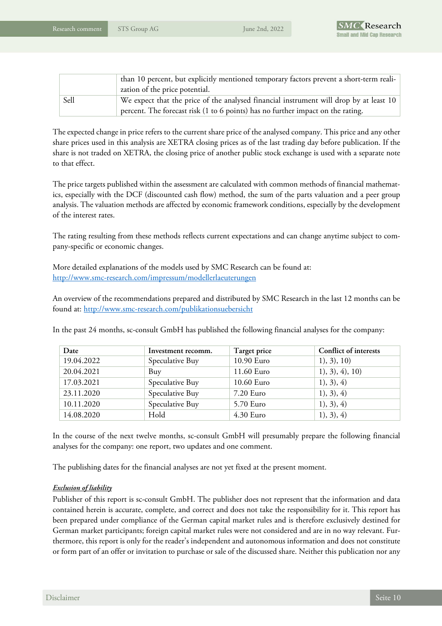

|      | than 10 percent, but explicitly mentioned temporary factors prevent a short-term reali- |
|------|-----------------------------------------------------------------------------------------|
|      | zation of the price potential.                                                          |
| Sell | We expect that the price of the analysed financial instrument will drop by at least 10  |
|      | percent. The forecast risk (1 to 6 points) has no further impact on the rating.         |

The expected change in price refers to the current share price of the analysed company. This price and any other share prices used in this analysis are XETRA closing prices as of the last trading day before publication. If the share is not traded on XETRA, the closing price of another public stock exchange is used with a separate note to that effect.

The price targets published within the assessment are calculated with common methods of financial mathematics, especially with the DCF (discounted cash flow) method, the sum of the parts valuation and a peer group analysis. The valuation methods are affected by economic framework conditions, especially by the development of the interest rates.

The rating resulting from these methods reflects current expectations and can change anytime subject to company-specific or economic changes.

More detailed explanations of the models used by SMC Research can be found at: http://www.smc-research.com/impressum/modellerlaeuterungen

An overview of the recommendations prepared and distributed by SMC Research in the last 12 months can be found at: http://www.smc-research.com/publikationsuebersicht

In the past 24 months, sc-consult GmbH has published the following financial analyses for the company:

| Date       | Investment recomm. | Target price | Conflict of interests |
|------------|--------------------|--------------|-----------------------|
| 19.04.2022 | Speculative Buy    | 10.90 Euro   | 1), 3), 10)           |
| 20.04.2021 | Buy                | 11.60 Euro   | 1), 3), 4), 10)       |
| 17.03.2021 | Speculative Buy    | 10.60 Euro   | 1), 3), 4)            |
| 23.11.2020 | Speculative Buy    | 7.20 Euro    | 1), 3), 4)            |
| 10.11.2020 | Speculative Buy    | 5.70 Euro    | 1), 3), 4)            |
| 14.08.2020 | Hold               | 4.30 Euro    | 1), 3), 4)            |

In the course of the next twelve months, sc-consult GmbH will presumably prepare the following financial analyses for the company: one report, two updates and one comment.

The publishing dates for the financial analyses are not yet fixed at the present moment.

#### *Exclusion of liability*

Publisher of this report is sc-consult GmbH. The publisher does not represent that the information and data contained herein is accurate, complete, and correct and does not take the responsibility for it. This report has been prepared under compliance of the German capital market rules and is therefore exclusively destined for German market participants; foreign capital market rules were not considered and are in no way relevant. Furthermore, this report is only for the reader's independent and autonomous information and does not constitute or form part of an offer or invitation to purchase or sale of the discussed share. Neither this publication nor any